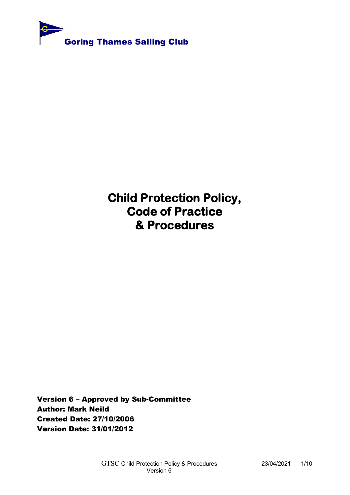

**Child Protection Policy, Code of Practice & Procedures** 

Version 6 – Approved by Sub-Committee Author: Mark Neild Created Date: 27/10/2006 Version Date: 31/01/2012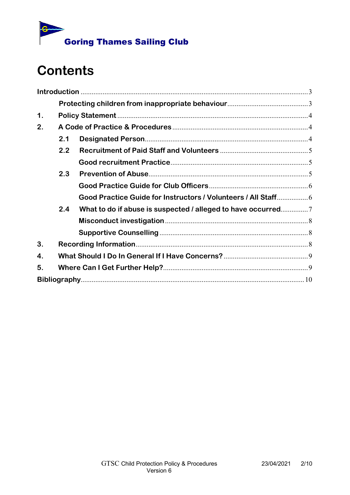

# **Contents**

| $\mathbf 1$ . |     |                                                             |  |
|---------------|-----|-------------------------------------------------------------|--|
| 2.            |     |                                                             |  |
|               | 2.1 |                                                             |  |
|               | 2.2 |                                                             |  |
|               |     |                                                             |  |
|               | 2.3 |                                                             |  |
|               |     |                                                             |  |
|               |     |                                                             |  |
|               | 2.4 | What to do if abuse is suspected / alleged to have occurred |  |
|               |     |                                                             |  |
|               |     |                                                             |  |
| 3.            |     |                                                             |  |
| 4.            |     |                                                             |  |
| 5.            |     |                                                             |  |
|               |     |                                                             |  |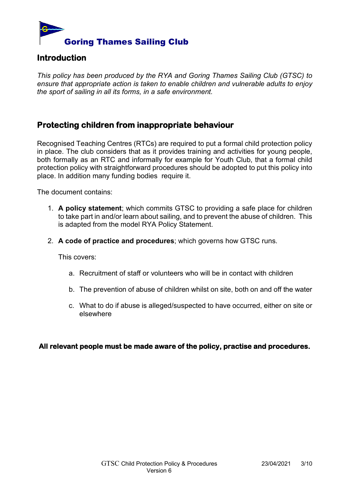

## <span id="page-2-0"></span>**Introduction**

*This policy has been produced by the RYA and Goring Thames Sailing Club (GTSC) to ensure that appropriate action is taken to enable children and vulnerable adults to enjoy the sport of sailing in all its forms, in a safe environment.*

## <span id="page-2-1"></span>**Protecting children from inappropriate behaviour**

Recognised Teaching Centres (RTCs) are required to put a formal child protection policy in place. The club considers that as it provides training and activities for young people, both formally as an RTC and informally for example for Youth Club, that a formal child protection policy with straightforward procedures should be adopted to put this policy into place. In addition many funding bodies require it.

The document contains:

- 1. **A policy statement**; which commits GTSC to providing a safe place for children to take part in and/or learn about sailing, and to prevent the abuse of children. This is adapted from the model RYA Policy Statement.
- 2. **A code of practice and procedures**; which governs how GTSC runs.

This covers:

- a. Recruitment of staff or volunteers who will be in contact with children
- b. The prevention of abuse of children whilst on site, both on and off the water
- c. What to do if abuse is alleged/suspected to have occurred, either on site or elsewhere

**All relevant people must be made aware of the policy, practise and procedures.**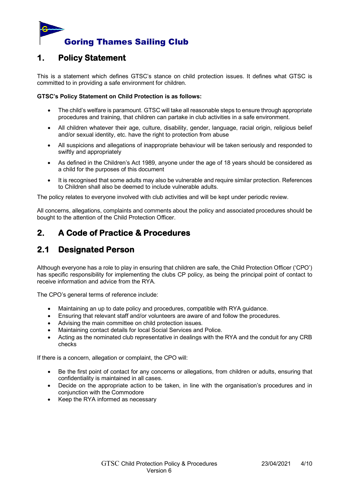

## <span id="page-3-0"></span>**1. Policy Statement**

This is a statement which defines GTSC's stance on child protection issues. It defines what GTSC is committed to in providing a safe environment for children.

#### **GTSC's Policy Statement on Child Protection is as follows:**

- The child's welfare is paramount. GTSC will take all reasonable steps to ensure through appropriate procedures and training, that children can partake in club activities in a safe environment.
- All children whatever their age, culture, disability, gender, language, racial origin, religious belief and/or sexual identity, etc. have the right to protection from abuse
- All suspicions and allegations of inappropriate behaviour will be taken seriously and responded to swiftly and appropriately
- As defined in the Children's Act 1989, anyone under the age of 18 years should be considered as a child for the purposes of this document
- It is recognised that some adults may also be vulnerable and require similar protection. References to Children shall also be deemed to include vulnerable adults.

The policy relates to everyone involved with club activities and will be kept under periodic review.

All concerns, allegations, complaints and comments about the policy and associated procedures should be bought to the attention of the Child Protection Officer.

# <span id="page-3-1"></span>**2. A Code of Practice & Procedures**

# <span id="page-3-2"></span>**2.1 Designated Person**

Although everyone has a role to play in ensuring that children are safe, the Child Protection Officer ('CPO') has specific responsibility for implementing the clubs CP policy, as being the principal point of contact to receive information and advice from the RYA.

The CPO's general terms of reference include:

- Maintaining an up to date policy and procedures, compatible with RYA guidance.
- Ensuring that relevant staff and/or volunteers are aware of and follow the procedures.
- Advising the main committee on child protection issues.
- Maintaining contact details for local Social Services and Police.
- Acting as the nominated club representative in dealings with the RYA and the conduit for any CRB checks

If there is a concern, allegation or complaint, the CPO will:

- Be the first point of contact for any concerns or allegations, from children or adults, ensuring that confidentiality is maintained in all cases.
- Decide on the appropriate action to be taken, in line with the organisation's procedures and in conjunction with the Commodore
- Keep the RYA informed as necessary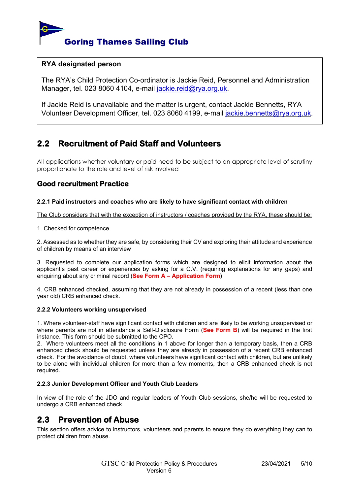

### **RYA designated person**

The RYA's Child Protection Co-ordinator is Jackie Reid, Personnel and Administration Manager, tel. 023 8060 4104, e-mail [jackie.reid@rya.org.uk.](mailto:jackie.reid@rya.org.uk)

If Jackie Reid is unavailable and the matter is urgent, contact Jackie Bennetts, RYA Volunteer Development Officer, tel. 023 8060 4199, e-mail [jackie.bennetts@rya.org.uk](mailto:jackie.bennetts@rya.org.uk).

## <span id="page-4-0"></span>**2.2 Recruitment of Paid Staff and Volunteers**

All applications whether voluntary or paid need to be subject to an appropriate level of scrutiny proportionate to the role and level of risk involved

## <span id="page-4-1"></span>**Good recruitment Practice**

#### **2.2.1 Paid instructors and coaches who are likely to have significant contact with children**

The Club considers that with the exception of instructors / coaches provided by the RYA, these should be;

#### 1. Checked for competence

2. Assessed as to whether they are safe, by considering their CV and exploring their attitude and experience of children by means of an interview

3. Requested to complete our application forms which are designed to elicit information about the applicant's past career or experiences by asking for a C.V. (requiring explanations for any gaps) and enquiring about any criminal record (**See Form A – Application Form)**

4. CRB enhanced checked, assuming that they are not already in possession of a recent (less than one year old) CRB enhanced check.

#### **2.2.2 Volunteers working unsupervised**

1. Where volunteer-staff have significant contact with children and are likely to be working unsupervised or where parents are not in attendance a Self-Disclosure Form (**See Form B**) will be required in the first instance. This form should be submitted to the CPO.

2. Where volunteers meet all the conditions in 1 above for longer than a temporary basis, then a CRB enhanced check should be requested unless they are already in possession of a recent CRB enhanced check. For the avoidance of doubt, where volunteers have significant contact with children, but are unlikely to be alone with individual children for more than a few moments, then a CRB enhanced check is not required.

#### **2.2.3 Junior Development Officer and Youth Club Leaders**

In view of the role of the JDO and regular leaders of Youth Club sessions, she/he will be requested to undergo a CRB enhanced check

## <span id="page-4-2"></span>**2.3 Prevention of Abuse**

This section offers advice to instructors, volunteers and parents to ensure they do everything they can to protect children from abuse.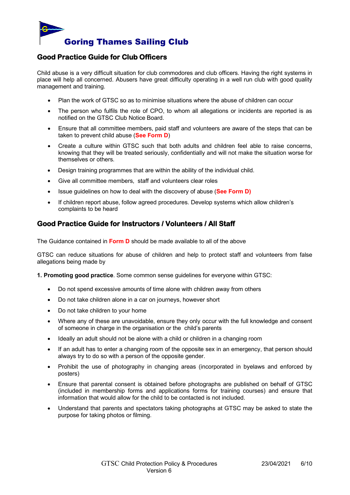

## <span id="page-5-0"></span>**Good Practice Guide for Club Officers**

Child abuse is a very difficult situation for club commodores and club officers. Having the right systems in place will help all concerned. Abusers have great difficulty operating in a well run club with good quality management and training.

- Plan the work of GTSC so as to minimise situations where the abuse of children can occur
- The person who fulfils the role of CPO, to whom all allegations or incidents are reported is as notified on the GTSC Club Notice Board.
- Ensure that all committee members, paid staff and volunteers are aware of the steps that can be taken to prevent child abuse (**See Form D**)
- Create a culture within GTSC such that both adults and children feel able to raise concerns, knowing that they will be treated seriously, confidentially and will not make the situation worse for themselves or others.
- Design training programmes that are within the ability of the individual child.
- Give all committee members, staff and volunteers clear roles
- Issue guidelines on how to deal with the discovery of abuse (**See Form D)**
- If children report abuse, follow agreed procedures. Develop systems which allow children's complaints to be heard

## <span id="page-5-1"></span>**Good Practice Guide for Instructors / Volunteers / All Staff**

The Guidance contained in **Form D** should be made available to all of the above

GTSC can reduce situations for abuse of children and help to protect staff and volunteers from false allegations being made by

**1. Promoting good practice**. Some common sense guidelines for everyone within GTSC:

- Do not spend excessive amounts of time alone with children away from others
- Do not take children alone in a car on journeys, however short
- Do not take children to your home
- Where any of these are unavoidable, ensure they only occur with the full knowledge and consent of someone in charge in the organisation or the child's parents
- Ideally an adult should not be alone with a child or children in a changing room
- If an adult has to enter a changing room of the opposite sex in an emergency, that person should always try to do so with a person of the opposite gender.
- Prohibit the use of photography in changing areas (incorporated in byelaws and enforced by posters)
- Ensure that parental consent is obtained before photographs are published on behalf of GTSC (included in membership forms and applications forms for training courses) and ensure that information that would allow for the child to be contacted is not included.
- Understand that parents and spectators taking photographs at GTSC may be asked to state the purpose for taking photos or filming.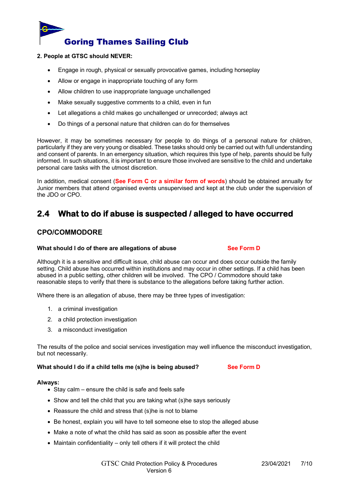

#### **2. People at GTSC should NEVER:**

- Engage in rough, physical or sexually provocative games, including horseplay
- Allow or engage in inappropriate touching of any form
- Allow children to use inappropriate language unchallenged
- Make sexually suggestive comments to a child, even in fun
- Let allegations a child makes go unchallenged or unrecorded; always act
- Do things of a personal nature that children can do for themselves

However, it may be sometimes necessary for people to do things of a personal nature for children, particularly if they are very young or disabled. These tasks should only be carried out with full understanding and consent of parents. In an emergency situation, which requires this type of help, parents should be fully informed. In such situations, it is important to ensure those involved are sensitive to the child and undertake personal care tasks with the utmost discretion.

In addition, medical consent (**See Form C or a similar form of words**) should be obtained annually for Junior members that attend organised events unsupervised and kept at the club under the supervision of the JDO or CPO.

## <span id="page-6-0"></span>**2.4 What to do if abuse is suspected / alleged to have occurred**

## **CPO/COMMODORE**

#### **What should I do of there are allegations of abuse See Form D**

Although it is a sensitive and difficult issue, child abuse can occur and does occur outside the family setting. Child abuse has occurred within institutions and may occur in other settings. If a child has been abused in a public setting, other children will be involved. The CPO / Commodore should take reasonable steps to verify that there is substance to the allegations before taking further action.

Where there is an allegation of abuse, there may be three types of investigation:

- 1. a criminal investigation
- 2. a child protection investigation
- 3. a misconduct investigation

The results of the police and social services investigation may well influence the misconduct investigation, but not necessarily.

**What should I do if a child tells me (s)he is being abused? See Form D**

#### **Always:**

- Stay calm ensure the child is safe and feels safe
- Show and tell the child that you are taking what (s)he says seriously
- Reassure the child and stress that (s)he is not to blame
- Be honest, explain you will have to tell someone else to stop the alleged abuse
- Make a note of what the child has said as soon as possible after the event
- Maintain confidentiality only tell others if it will protect the child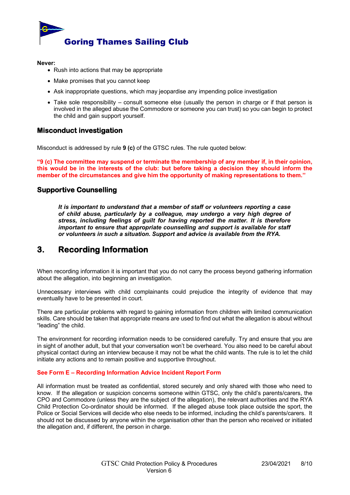

**Never:**

- Rush into actions that may be appropriate
- Make promises that you cannot keep
- Ask inappropriate questions, which may jeopardise any impending police investigation
- Take sole responsibility consult someone else (usually the person in charge or if that person is involved in the alleged abuse the Commodore or someone you can trust) so you can begin to protect the child and gain support yourself.

### <span id="page-7-0"></span>**Misconduct investigation**

Misconduct is addressed by rule **9 (c)** of the GTSC rules. The rule quoted below:

**"9 (c) The committee may suspend or terminate the membership of any member if, in their opinion, this would be in the interests of the club: but before taking a decision they should inform the member of the circumstances and give him the opportunity of making representations to them.''**

### <span id="page-7-1"></span>**Supportive Counselling**

*It is important to understand that a member of staff or volunteers reporting a case of child abuse, particularly by a colleague, may undergo a very high degree of stress, including feelings of guilt for having reported the matter. It is therefore important to ensure that appropriate counselling and support is available for staff or volunteers in such a situation. Support and advice is available from the RYA.* 

## <span id="page-7-2"></span>**3. Recording Information**

When recording information it is important that you do not carry the process beyond gathering information about the allegation, into beginning an investigation.

Unnecessary interviews with child complainants could prejudice the integrity of evidence that may eventually have to be presented in court.

There are particular problems with regard to gaining information from children with limited communication skills. Care should be taken that appropriate means are used to find out what the allegation is about without "leading" the child.

The environment for recording information needs to be considered carefully. Try and ensure that you are in sight of another adult, but that your conversation won't be overheard. You also need to be careful about physical contact during an interview because it may not be what the child wants. The rule is to let the child initiate any actions and to remain positive and supportive throughout.

#### **See Form E – Recording Information Advice Incident Report Form**

All information must be treated as confidential, stored securely and only shared with those who need to know. If the allegation or suspicion concerns someone within GTSC, only the child's parents/carers, the CPO and Commodore (unless they are the subject of the allegation), the relevant authorities and the RYA Child Protection Co-ordinator should be informed. If the alleged abuse took place outside the sport, the Police or Social Services will decide who else needs to be informed, including the child's parents/carers. It should not be discussed by anyone within the organisation other than the person who received or initiated the allegation and, if different, the person in charge.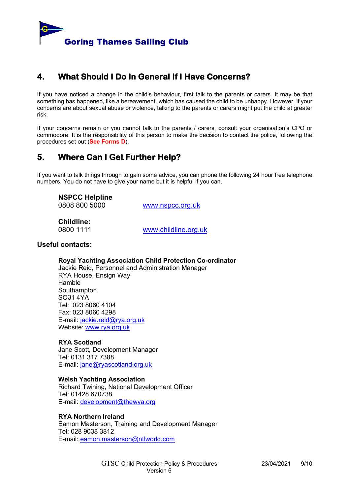

# <span id="page-8-0"></span>**4. What Should I Do In General If I Have Concerns?**

If you have noticed a change in the child's behaviour, first talk to the parents or carers. It may be that something has happened, like a bereavement, which has caused the child to be unhappy. However, if your concerns are about sexual abuse or violence, talking to the parents or carers might put the child at greater risk.

If your concerns remain or you cannot talk to the parents / carers, consult your organisation's CPO or commodore. It is the responsibility of this person to make the decision to contact the police, following the procedures set out (**See Forms D**).

# <span id="page-8-1"></span>**5. Where Can I Get Further Help?**

If you want to talk things through to gain some advice, you can phone the following 24 hour free telephone numbers. You do not have to give your name but it is helpful if you can.

**NSPCC Helpline** 0808 800 5000 [www.nspcc.org.uk](http://www.nspcc.org.uk/)

**Childline:**

0800 1111 [www.childline.org.uk](http://www.childline.org.uk/)

### **Useful contacts:**

**Royal Yachting Association Child Protection Co-ordinator** Jackie Reid, Personnel and Administration Manager RYA House, Ensign Way Hamble **Southampton** SO31 4YA Tel: 023 8060 4104 Fax: 023 8060 4298 E-mail: [jackie.reid@rya.org.uk](mailto:jackie.reid@rya.org.uk) Website: [www.rya.org.uk](http://www.rya.org.uk/)

### **RYA Scotland**

Jane Scott, Development Manager Tel: 0131 317 7388 E-mail: [jane@ryascotland.org.uk](mailto:jane@ryascotland.org.uk)

#### **Welsh Yachting Association**

Richard Twining, National Development Officer Tel: 01428 670738 E-mail: [development@thewya.org](mailto:development@thewya.org)

### **RYA Northern Ireland**

Eamon Masterson, Training and Development Manager Tel: 028 9038 3812 E-mail: [eamon.masterson@ntlworld.com](mailto:eamon.masterson@ntlworld.com)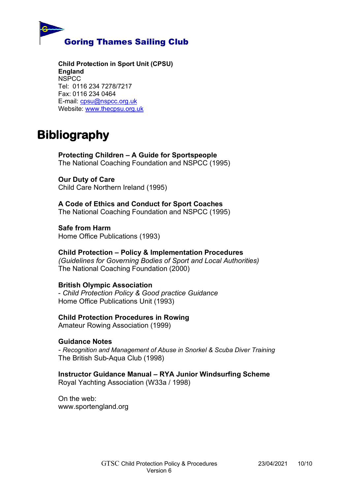

**Child Protection in Sport Unit (CPSU) England** NSPCC Tel: 0116 234 7278/7217 Fax: 0116 234 0464 E-mail: [cpsu@nspcc.org.uk](mailto:cpsu@nspcc.org.uk) Website: [www.thecpsu.org.uk](http://www.thecpsu.org.uk/)

# <span id="page-9-0"></span>**Bibliography**

**Protecting Children – A Guide for Sportspeople** The National Coaching Foundation and NSPCC (1995)

## **Our Duty of Care**

Child Care Northern Ireland (1995)

**A Code of Ethics and Conduct for Sport Coaches** The National Coaching Foundation and NSPCC (1995)

**Safe from Harm** Home Office Publications (1993)

### **Child Protection – Policy & Implementation Procedures** *(Guidelines for Governing Bodies of Sport and Local Authorities)* The National Coaching Foundation (2000)

## **British Olympic Association**

- *Child Protection Policy & Good practice Guidance* Home Office Publications Unit (1993)

## **Child Protection Procedures in Rowing**

Amateur Rowing Association (1999)

## **Guidance Notes**

*- Recognition and Management of Abuse in Snorkel & Scuba Diver Training* The British Sub-Aqua Club (1998)

## **Instructor Guidance Manual – RYA Junior Windsurfing Scheme**

Royal Yachting Association (W33a / 1998)

On the web: www.sportengland.org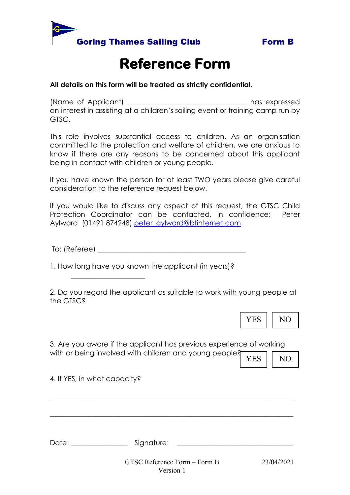



# **Reference Form**

## **All details on this form will be treated as strictly confidential.**

(Name of Applicant) \_\_\_\_\_\_\_\_\_\_\_\_\_\_\_\_\_\_\_\_\_\_\_\_\_\_\_\_\_\_\_\_\_\_ has expressed an interest in assisting at a children's sailing event or training camp run by GTSC.

This role involves substantial access to children. As an organisation committed to the protection and welfare of children, we are anxious to know if there are any reasons to be concerned about this applicant being in contact with children or young people.

If you have known the person for at least TWO years please give careful consideration to the reference request below.

If you would like to discuss any aspect of this request, the GTSC Child Protection Coordinator can be contacted, in confidence: Peter Aylward (01491 874248) peter aylward@btinternet.com

 $\text{To: (Reference)}$ 

1. How long have you known the applicant (in years)?

2. Do you regard the applicant as suitable to work with young people at the GTSC?



3. Are you aware if the applicant has previous experience of working with or being involved with children and young people?

YES II NO

4. If YES, in what capacity?

 $\overline{\phantom{a}}$  , where  $\overline{\phantom{a}}$  , where  $\overline{\phantom{a}}$  , where  $\overline{\phantom{a}}$ 

GTSC Reference Form – Form B 23/04/2021 Version 1 Date: \_\_\_\_\_\_\_\_\_\_\_\_\_\_\_\_ Signature: \_\_\_\_\_\_\_\_\_\_\_\_\_\_\_\_\_\_\_\_\_\_\_\_\_\_\_\_\_\_\_\_\_

\_\_\_\_\_\_\_\_\_\_\_\_\_\_\_\_\_\_\_\_\_\_\_\_\_\_\_\_\_\_\_\_\_\_\_\_\_\_\_\_\_\_\_\_\_\_\_\_\_\_\_\_\_\_\_\_\_\_\_\_\_\_\_\_\_\_\_\_\_

\_\_\_\_\_\_\_\_\_\_\_\_\_\_\_\_\_\_\_\_\_\_\_\_\_\_\_\_\_\_\_\_\_\_\_\_\_\_\_\_\_\_\_\_\_\_\_\_\_\_\_\_\_\_\_\_\_\_\_\_\_\_\_\_\_\_\_\_\_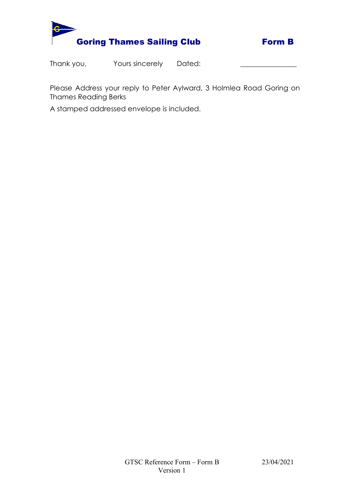



Thank you, Thank you, Thank you, Thank you, Thank 2015 Separate Values 2016

Please Address your reply to Peter Aylward, 3 Holmlea Road Goring on Thames Reading Berks

A stamped addressed envelope is included.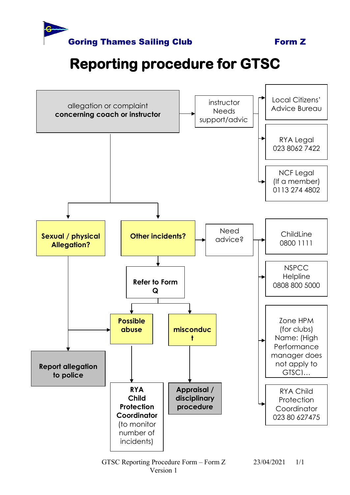

# **Reporting procedure for GTSC**

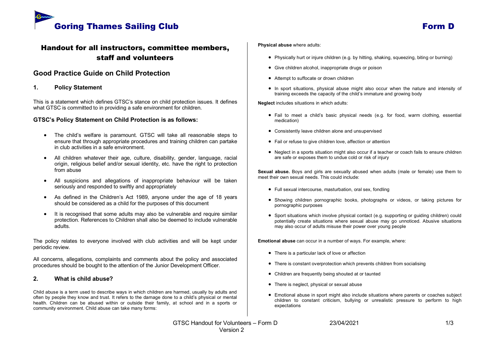

## Handout for all instructors, committee members, staff and volunteers

### **Good Practice Guide on Child Protection**

#### **1. Policy Statement**

This is a statement which defines GTSC's stance on child protection issues. It defines what GTSC is committed to in providing a safe environment for children.

#### **GTSC's Policy Statement on Child Protection is as follows:**

- The child's welfare is paramount. GTSC will take all reasonable steps to ensure that through appropriate procedures and training children can partake in club activities in a safe environment.
- All children whatever their age, culture, disability, gender, language, racial origin, religious belief and/or sexual identity, etc. have the right to protection from abuse
- All suspicions and allegations of inappropriate behaviour will be taken seriously and responded to swiftly and appropriately
- As defined in the Children's Act 1989, anyone under the age of 18 years should be considered as a child for the purposes of this document
- It is recognised that some adults may also be vulnerable and require similar protection. References to Children shall also be deemed to include vulnerable adults.

The policy relates to everyone involved with club activities and will be kept under periodic review.

All concerns, allegations, complaints and comments about the policy and associated procedures should be bought to the attention of the Junior Development Officer.

#### **2. What is child abuse?**

Child abuse is a term used to describe ways in which children are harmed, usually by adults and often by people they know and trust. It refers to the damage done to a child's physical or mental health. Children can be abused within or outside their family, at school and in a sports or community environment. Child abuse can take many forms:

#### **Physical abuse** where adults:

- Physically hurt or injure children (e.g. by hitting, shaking, squeezing, biting or burning)
- Give children alcohol, inappropriate drugs or poison
- Attempt to suffocate or drown children
- In sport situations, physical abuse might also occur when the nature and intensity of training exceeds the capacity of the child's immature and growing body

**Neglect** includes situations in which adults:

- Fail to meet a child's basic physical needs (e.g. for food, warm clothing, essential medication)
- Consistently leave children alone and unsupervised
- Fail or refuse to give children love, affection or attention
- Neglect in a sports situation might also occur if a teacher or coach fails to ensure children are safe or exposes them to undue cold or risk of injury

**Sexual abuse.** Boys and girls are sexually abused when adults (male or female) use them to meet their own sexual needs. This could include:

- Full sexual intercourse, masturbation, oral sex, fondling
- Showing children pornographic books, photographs or videos, or taking pictures for pornographic purposes
- Sport situations which involve physical contact (e.g. supporting or guiding children) could potentially create situations where sexual abuse may go unnoticed. Abusive situations may also occur of adults misuse their power over young people

**Emotional abuse** can occur in a number of ways. For example, where:

- There is a particular lack of love or affection
- There is constant overprotection which prevents children from socialising
- Children are frequently being shouted at or taunted
- There is neglect, physical or sexual abuse
- Emotional abuse in sport might also include situations where parents or coaches subject children to constant criticism, bullying or unrealistic pressure to perform to high expectations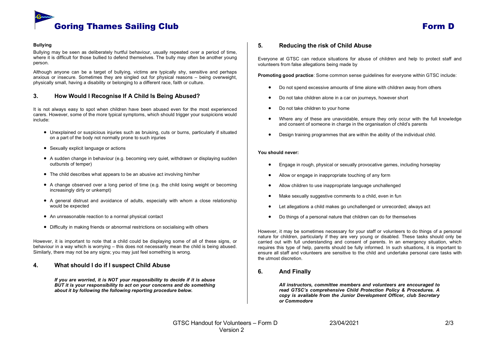

#### **Bullying**

Bullying may be seen as deliberately hurtful behaviour, usually repeated over a period of time, where it is difficult for those bullied to defend themselves. The bully may often be another young person.

Although anyone can be a target of bullying, victims are typically shy, sensitive and perhaps anxious or insecure. Sometimes they are singled out for physical reasons – being overweight, physically small, having a disability or belonging to a different race, faith or culture.

#### **3. How Would I Recognise If A Child Is Being Abused?**

It is not always easy to spot when children have been abused even for the most experienced carers. However, some of the more typical symptoms, which should trigger your suspicions would include:

- Unexplained or suspicious injuries such as bruising, cuts or burns, particularly if situated on a part of the body not normally prone to such injuries
- Sexually explicit language or actions
- A sudden change in behaviour (e.g. becoming very quiet, withdrawn or displaying sudden outbursts of temper)
- The child describes what appears to be an abusive act involving him/her
- A change observed over a long period of time (e.g. the child losing weight or becoming increasingly dirty or unkempt)
- A general distrust and avoidance of adults, especially with whom a close relationship would be expected
- An unreasonable reaction to a normal physical contact
- Difficulty in making friends or abnormal restrictions on socialising with others

However, it is important to note that a child could be displaying some of all of these signs, or behaviour in a way which is worrying – this does not necessarily mean the child is being abused. Similarly, there may not be any signs; you may just feel something is wrong.

#### **4. What should I do if I suspect Child Abuse**

*If you are worried, it is NOT your responsibility to decide if it is abuse BUT it is your responsibility to act on your concerns and do something about it by following the following reporting procedure below.*

#### **5. Reducing the risk of Child Abuse**

Everyone at GTSC can reduce situations for abuse of children and help to protect staff and volunteers from false allegations being made by

**Promoting good practice**: Some common sense guidelines for everyone within GTSC include:

- Do not spend excessive amounts of time alone with children away from others
- Do not take children alone in a car on journeys, however short
- Do not take children to your home
- Where any of these are unavoidable, ensure they only occur with the full knowledge and consent of someone in charge in the organisation of child's parents
- Design training programmes that are within the ability of the individual child.

#### **You should never:**

- Engage in rough, physical or sexually provocative games, including horseplay
- Allow or engage in inappropriate touching of any form
- Allow children to use inappropriate language unchallenged
- Make sexually suggestive comments to a child, even in fun
- Let allegations a child makes go unchallenged or unrecorded; always act
- Do things of a personal nature that children can do for themselves

However, it may be sometimes necessary for your staff or volunteers to do things of a personal nature for children, particularly if they are very young or disabled. These tasks should only be carried out with full understanding and consent of parents. In an emergency situation, which requires this type of help, parents should be fully informed. In such situations, it is important to ensure all staff and volunteers are sensitive to the child and undertake personal care tasks with the utmost discretion.

#### **6. And Finally**

*All instructors, committee members and volunteers are encouraged to read GTSC's comprehensive Child Protection Policy & Procedures. A copy is available from the Junior Development Officer, club Secretary or Commodore*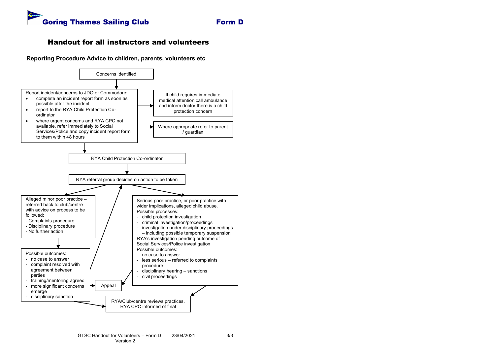

### Handout for all instructors and volunteers

**Reporting Procedure Advice to children, parents, volunteers etc**

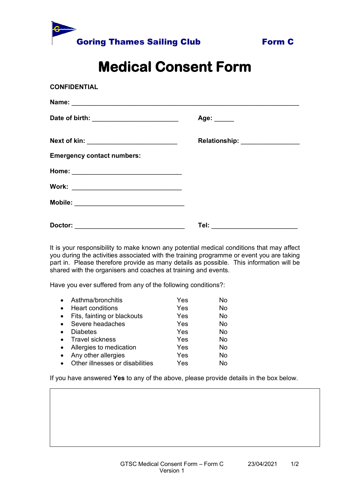



# **Medical Consent Form**

| <b>CONFIDENTIAL</b>                        |                                   |
|--------------------------------------------|-----------------------------------|
|                                            |                                   |
|                                            | Age: $\_\_$                       |
| Next of kin: _____________________________ | Relationship: ________________    |
| <b>Emergency contact numbers:</b>          |                                   |
|                                            |                                   |
|                                            |                                   |
|                                            |                                   |
|                                            | Tel: ____________________________ |

It is your responsibility to make known any potential medical conditions that may affect you during the activities associated with the training programme or event you are taking part in. Please therefore provide as many details as possible. This information will be shared with the organisers and coaches at training and events.

Have you ever suffered from any of the following conditions?:

| $\bullet$ | Asthma/bronchitis               | Yes | No |
|-----------|---------------------------------|-----|----|
|           | <b>Heart conditions</b>         | Yes | No |
| $\bullet$ | Fits, fainting or blackouts     | Yes | No |
|           | Severe headaches                | Yes | No |
|           | <b>Diabetes</b>                 | Yes | No |
|           | Travel sickness                 | Yes | No |
|           | Allergies to medication         | Yes | No |
|           | Any other allergies             | Yes | No |
|           | Other illnesses or disabilities | Yes | N٥ |

**Template 6 – Photography consent form**

If you have answered **Yes** to any of the above, please provide details in the box below.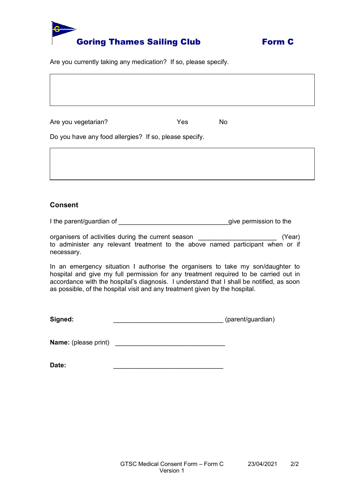



Are you currently taking any medication? If so, please specify.

Are you vegetarian? The North State of North Yes North North North North North North North North North North No

Do you have any food allergies? If so, please specify.

### **Consent**

I the parent/guardian of \_\_\_\_\_\_\_\_\_\_\_\_\_\_\_\_\_\_\_\_\_\_\_\_\_\_\_\_give permission to the

organisers of activities during the current season \_\_\_\_\_\_\_\_\_\_\_\_\_\_\_\_\_\_\_\_ (Year) to administer any relevant treatment to the above named participant when or if necessary.

In an emergency situation I authorise the organisers to take my son/daughter to hospital and give my full permission for any treatment required to be carried out in accordance with the hospital's diagnosis. I understand that I shall be notified, as soon as possible, of the hospital visit and any treatment given by the hospital.

**Signed:** \_\_\_\_\_\_\_\_\_\_\_\_\_\_\_\_\_\_\_\_\_\_\_\_\_\_\_\_ (parent/guardian)

**Name:** (please print)

**Date:** \_\_\_\_\_\_\_\_\_\_\_\_\_\_\_\_\_\_\_\_\_\_\_\_\_\_\_\_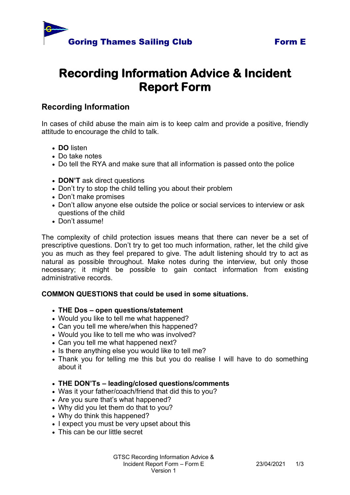



# **Recording Information Advice & Incident Report Form**

## **Recording Information**

In cases of child abuse the main aim is to keep calm and provide a positive, friendly attitude to encourage the child to talk.

- **DO** listen
- Do take notes
- Do tell the RYA and make sure that all information is passed onto the police
- **DON'T** ask direct questions
- Don't try to stop the child telling you about their problem
- Don't make promises
- Don't allow anyone else outside the police or social services to interview or ask questions of the child
- Don't assume!

The complexity of child protection issues means that there can never be a set of prescriptive questions. Don't try to get too much information, rather, let the child give you as much as they feel prepared to give. The adult listening should try to act as natural as possible throughout. Make notes during the interview, but only those necessary; it might be possible to gain contact information from existing administrative records.

## **COMMON QUESTIONS that could be used in some situations.**

- **THE Dos – open questions/statement**
- Would you like to tell me what happened?
- Can you tell me where/when this happened?
- Would you like to tell me who was involved?
- Can you tell me what happened next?
- Is there anything else you would like to tell me?
- Thank you for telling me this but you do realise I will have to do something about it

### • **THE DON'Ts – leading/closed questions/comments**

- Was it your father/coach/friend that did this to you?
- Are you sure that's what happened?
- Why did you let them do that to you?
- Why do think this happened?
- I expect you must be very upset about this
- This can be our little secret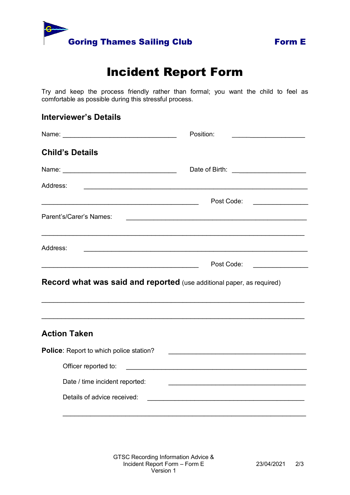



# Incident Report Form

Try and keep the process friendly rather than formal; you want the child to feel as comfortable as possible during this stressful process.

## **Interviewer's Details**

|                                                                                                                      | Position:                                                                                                            |
|----------------------------------------------------------------------------------------------------------------------|----------------------------------------------------------------------------------------------------------------------|
| <b>Child's Details</b>                                                                                               |                                                                                                                      |
|                                                                                                                      |                                                                                                                      |
| Address:                                                                                                             |                                                                                                                      |
| <u> 1989 - Johann John Stone, mars eta bainar eta bainar eta baina eta baina eta baina eta baina eta baina eta b</u> | Post Code:                                                                                                           |
| Parent's/Carer's Names:                                                                                              |                                                                                                                      |
|                                                                                                                      |                                                                                                                      |
| Address:                                                                                                             |                                                                                                                      |
|                                                                                                                      | Post Code:<br><u> 1989 - Johann Barbara, martin a</u>                                                                |
| <b>Record what was said and reported</b> (use additional paper, as required)                                         |                                                                                                                      |
| <b>Action Taken</b>                                                                                                  |                                                                                                                      |
| Police: Report to which police station?                                                                              | <u> 1989 - Paris Maria II, martin amerikana amerikana di Indonesia. Perang perang pertama pertama di Indonesia.</u>  |
| Officer reported to:                                                                                                 |                                                                                                                      |
| Date / time incident reported:                                                                                       |                                                                                                                      |
| Details of advice received:                                                                                          | <u> 1980 - Johann John Stone, mars and de British and de British and de British and de British and de British an</u> |
|                                                                                                                      |                                                                                                                      |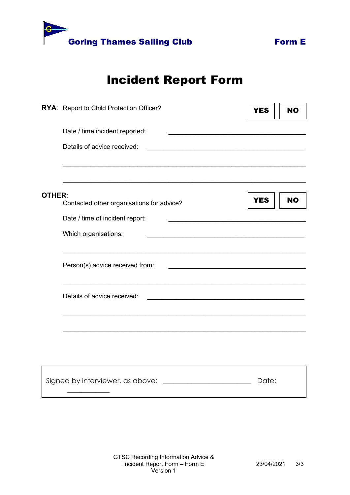

# Incident Report Form

|               | RYA: Report to Child Protection Officer?                                                                                                             | <b>YES</b> | <b>NO</b> |
|---------------|------------------------------------------------------------------------------------------------------------------------------------------------------|------------|-----------|
|               | Date / time incident reported:                                                                                                                       |            |           |
|               | Details of advice received:<br><u> 1989 - Johann John Stone, mars eta industrial eta industrial eta industrial eta industrial eta industrial eta</u> |            |           |
|               |                                                                                                                                                      |            |           |
| <b>OTHER:</b> | Contacted other organisations for advice?                                                                                                            | <b>YES</b> | <b>NO</b> |
|               | Date / time of incident report:                                                                                                                      |            |           |
|               | Which organisations:<br>the control of the control of the control of the control of the control of the control of                                    |            |           |
|               | Person(s) advice received from:<br><u> 1990 - Johann John Stone, mars eta bainar eta politikaria (h. 1900).</u>                                      |            |           |
|               | Details of advice received:                                                                                                                          |            |           |
|               |                                                                                                                                                      |            |           |
|               |                                                                                                                                                      |            |           |
|               | Signed by interviewer, as above:                                                                                                                     | Date:      |           |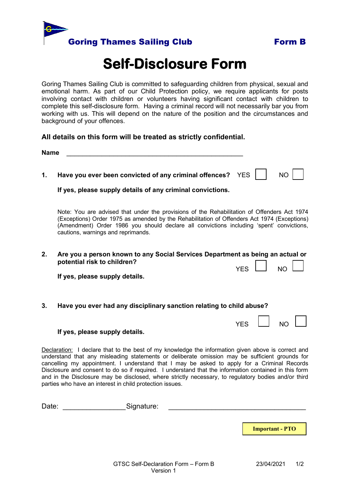



# **Self-Disclosure Form**

Goring Thames Sailing Club is committed to safeguarding children from physical, sexual and emotional harm. As part of our Child Protection policy, we require applicants for posts involving contact with children or volunteers having significant contact with children to complete this self-disclosure form. Having a criminal record will not necessarily bar you from working with us. This will depend on the nature of the position and the circumstances and background of your offences.

### **All details on this form will be treated as strictly confidential.**

| <b>Name</b>                                                                                                                                                                                                                                                                                                                                                                                                                                                                                                                                                                     |                                                                                                                                                                                                                                                                                                                              |  |
|---------------------------------------------------------------------------------------------------------------------------------------------------------------------------------------------------------------------------------------------------------------------------------------------------------------------------------------------------------------------------------------------------------------------------------------------------------------------------------------------------------------------------------------------------------------------------------|------------------------------------------------------------------------------------------------------------------------------------------------------------------------------------------------------------------------------------------------------------------------------------------------------------------------------|--|
| 1.                                                                                                                                                                                                                                                                                                                                                                                                                                                                                                                                                                              | Have you ever been convicted of any criminal offences?<br><b>YES</b><br>NO<br>If yes, please supply details of any criminal convictions.                                                                                                                                                                                     |  |
|                                                                                                                                                                                                                                                                                                                                                                                                                                                                                                                                                                                 | Note: You are advised that under the provisions of the Rehabilitation of Offenders Act 1974<br>(Exceptions) Order 1975 as amended by the Rehabilitation of Offenders Act 1974 (Exceptions)<br>(Amendment) Order 1986 you should declare all convictions including 'spent' convictions,<br>cautions, warnings and reprimands. |  |
| 2.                                                                                                                                                                                                                                                                                                                                                                                                                                                                                                                                                                              | Are you a person known to any Social Services Department as being an actual or<br>potential risk to children?<br><b>YES</b><br><b>NC</b><br>If yes, please supply details.                                                                                                                                                   |  |
| 3.                                                                                                                                                                                                                                                                                                                                                                                                                                                                                                                                                                              | Have you ever had any disciplinary sanction relating to child abuse?<br><b>YES</b><br>N <sub>C</sub><br>If yes, please supply details.                                                                                                                                                                                       |  |
| Declaration: I declare that to the best of my knowledge the information given above is correct and<br>understand that any misleading statements or deliberate omission may be sufficient grounds for<br>cancelling my appointment. I understand that I may be asked to apply for a Criminal Records<br>Disclosure and consent to do so if required. I understand that the information contained in this form<br>and in the Disclosure may be disclosed, where strictly necessary, to regulatory bodies and/or third<br>parties who have an interest in child protection issues. |                                                                                                                                                                                                                                                                                                                              |  |

Date: etc. and the Signature:

**Important - PTO**